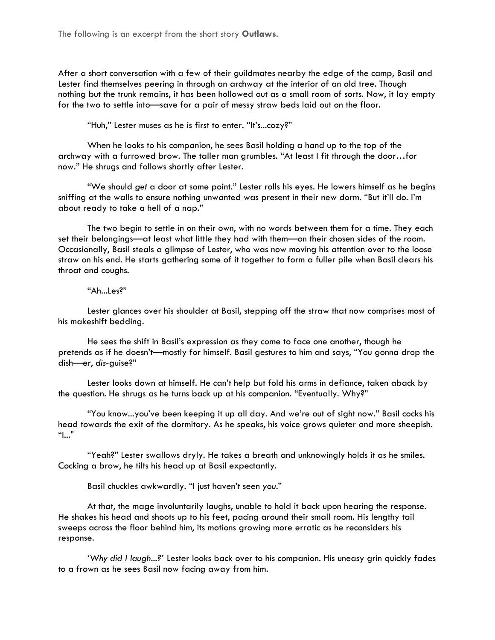The following is an excerpt from the short story **Outlaws**.

After a short conversation with a few of their guildmates nearby the edge of the camp, Basil and Lester find themselves peering in through an archway at the interior of an old tree. Though nothing but the trunk remains, it has been hollowed out as a small room of sorts. Now, it lay empty for the two to settle into—save for a pair of messy straw beds laid out on the floor.

"Huh," Lester muses as he is first to enter. "It's...cozy?"

When he looks to his companion, he sees Basil holding a hand up to the top of the archway with a furrowed brow. The taller man grumbles. "At least I fit through the door…for now." He shrugs and follows shortly after Lester.

"We should *get* a door at some point." Lester rolls his eyes. He lowers himself as he begins sniffing at the walls to ensure nothing unwanted was present in their new dorm. "But it'll do. I'm about ready to take a hell of a nap."

The two begin to settle in on their own, with no words between them for a time. They each set their belongings—at least what little they had with them—on their chosen sides of the room. Occasionally, Basil steals a glimpse of Lester, who was now moving his attention over to the loose straw on his end. He starts gathering some of it together to form a fuller pile when Basil clears his throat and coughs.

## "Ah...Les?"

Lester glances over his shoulder at Basil, stepping off the straw that now comprises most of his makeshift bedding.

He sees the shift in Basil's expression as they come to face one another, though he pretends as if he doesn't—mostly for himself. Basil gestures to him and says, "You gonna drop the dish—er, *dis*-guise?"

Lester looks down at himself. He can't help but fold his arms in defiance, taken aback by the question. He shrugs as he turns back up at his companion. "Eventually. Why?"

"You know...you've been keeping it up all day. And we're out of sight now." Basil cocks his head towards the exit of the dormitory. As he speaks, his voice grows quieter and more sheepish. "I..."

"Yeah?" Lester swallows dryly. He takes a breath and unknowingly holds it as he smiles. Cocking a brow, he tilts his head up at Basil expectantly.

Basil chuckles awkwardly. "I just haven't seen *you*."

At that, the mage involuntarily laughs, unable to hold it back upon hearing the response. He shakes his head and shoots up to his feet, pacing around their small room. His lengthy tail sweeps across the floor behind him, its motions growing more erratic as he reconsiders his response.

'*Why did I laugh...?'* Lester looks back over to his companion. His uneasy grin quickly fades to a frown as he sees Basil now facing away from him.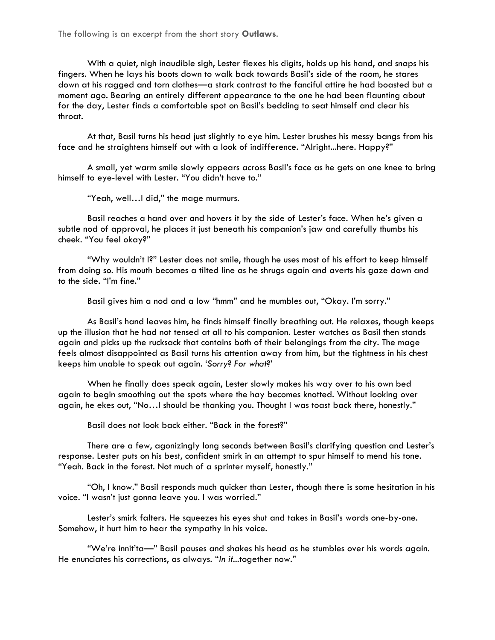The following is an excerpt from the short story **Outlaws**.

With a quiet, nigh inaudible sigh, Lester flexes his digits, holds up his hand, and snaps his fingers. When he lays his boots down to walk back towards Basil's side of the room, he stares down at his ragged and torn clothes—a stark contrast to the fanciful attire he had boasted but a moment ago. Bearing an entirely different appearance to the one he had been flaunting about for the day, Lester finds a comfortable spot on Basil's bedding to seat himself and clear his throat.

At that, Basil turns his head just slightly to eye him. Lester brushes his messy bangs from his face and he straightens himself out with a look of indifference. "Alright...here. Happy?"

A small, yet warm smile slowly appears across Basil's face as he gets on one knee to bring himself to eye-level with Lester. "You didn't have to."

"Yeah, well…I did," the mage murmurs.

Basil reaches a hand over and hovers it by the side of Lester's face. When he's given a subtle nod of approval, he places it just beneath his companion's jaw and carefully thumbs his cheek. "You feel okay?"

"Why wouldn't I?" Lester does not smile, though he uses most of his effort to keep himself from doing so. His mouth becomes a tilted line as he shrugs again and averts his gaze down and to the side. "I'm fine."

Basil gives him a nod and a low "hmm" and he mumbles out, "Okay. I'm sorry."

As Basil's hand leaves him, he finds himself finally breathing out. He relaxes, though keeps up the illusion that he had not tensed at all to his companion. Lester watches as Basil then stands again and picks up the rucksack that contains both of their belongings from the city. The mage feels almost disappointed as Basil turns his attention away from him, but the tightness in his chest keeps him unable to speak out again. '*Sorry*? *For what*?'

When he finally does speak again, Lester slowly makes his way over to his own bed again to begin smoothing out the spots where the hay becomes knotted. Without looking over again, he ekes out, "No…I should be thanking you. Thought I was toast back there, honestly."

Basil does not look back either. "Back in the forest?"

There are a few, agonizingly long seconds between Basil's clarifying question and Lester's response. Lester puts on his best, confident smirk in an attempt to spur himself to mend his tone. "Yeah. Back in the forest. Not much of a sprinter myself, honestly."

"Oh, I know." Basil responds much quicker than Lester, though there is some hesitation in his voice. "I wasn't just gonna leave you. I was worried."

Lester's smirk falters. He squeezes his eyes shut and takes in Basil's words one-by-one. Somehow, it hurt him to hear the sympathy in his voice.

"We're innit'ta—" Basil pauses and shakes his head as he stumbles over his words again. He enunciates his corrections, as always. "*In it*...together now."